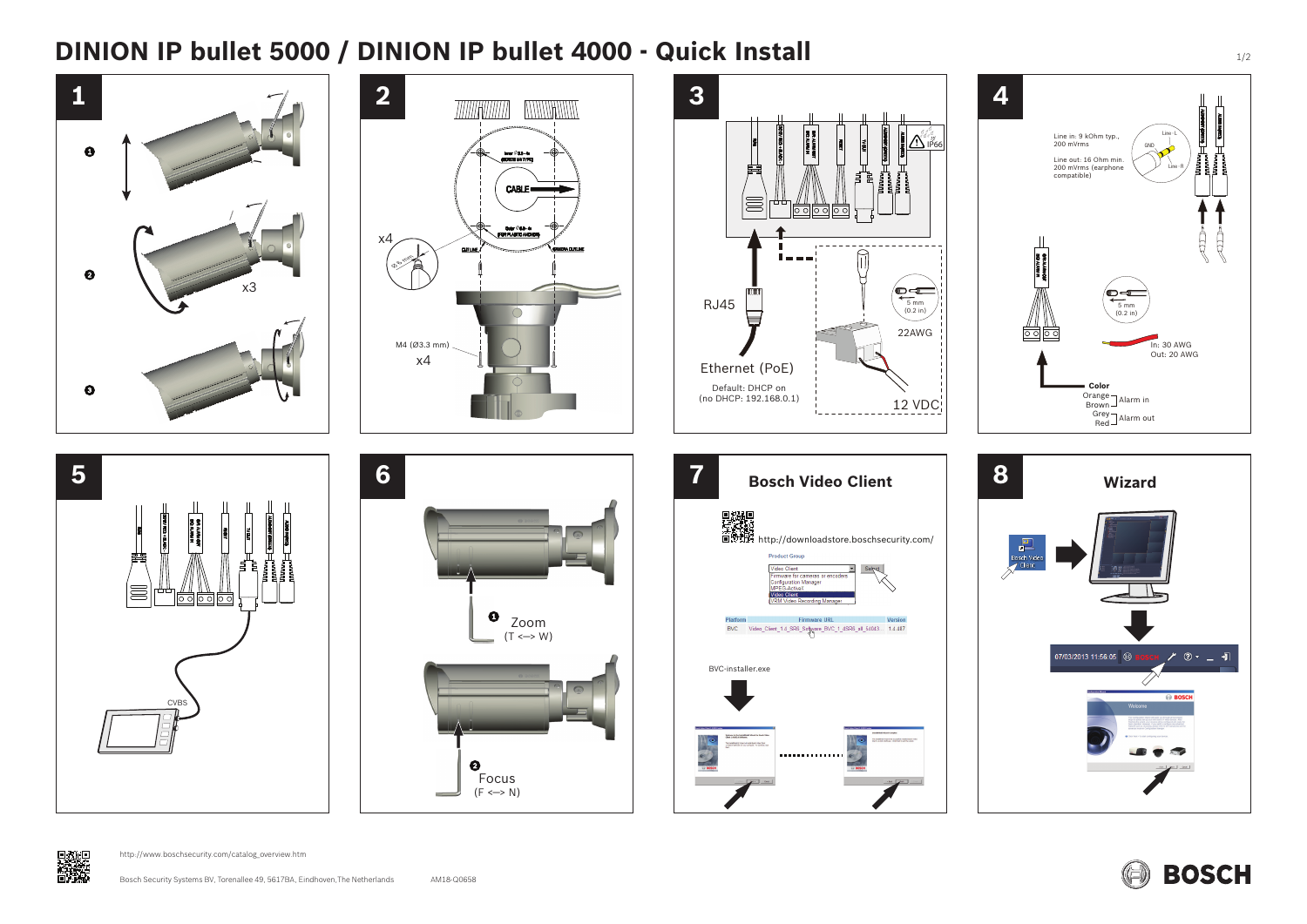# **DINION IP bullet 5000 / DINION IP bullet 4000 - Quick Install 1000 - 1/2 Allen 1/2**





















http://www.boschsecurity.com/catalog\_overview.htm